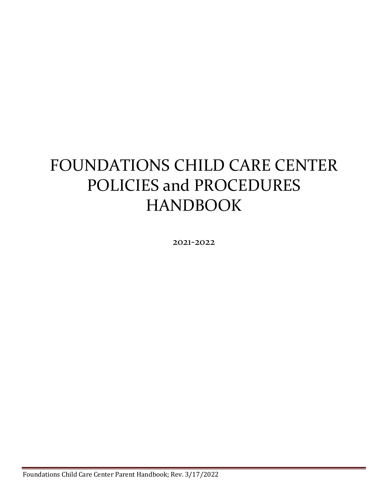# FOUNDATIONS CHILD CARE CENTER POLICIES and PROCEDURES HANDBOOK

2021-2022

Foundations Child Care Center Parent Handbook; Rev. 3/17/2022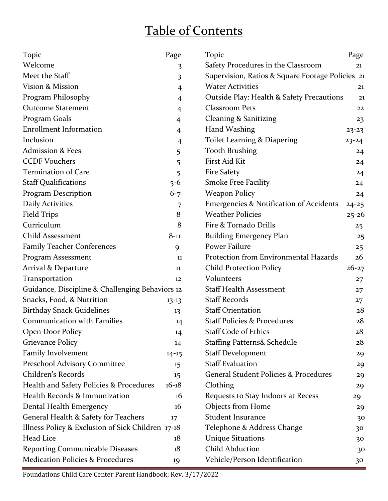## Table of Contents

| <b>Topic</b><br><u>Page</u><br><u>Topic</u>                                        | <b>Page</b>                                      |  |
|------------------------------------------------------------------------------------|--------------------------------------------------|--|
| Welcome<br>Safety Procedures in the Classroom<br>3                                 | 21                                               |  |
| Meet the Staff<br>3                                                                | Supervision, Ratios & Square Footage Policies 21 |  |
| Vision & Mission<br><b>Water Activities</b><br>$\overline{4}$                      | 21                                               |  |
| Program Philosophy<br>Outside Play: Health & Safety Precautions<br>$\overline{4}$  | 21                                               |  |
| <b>Outcome Statement</b><br>Classroom Pets<br>$\overline{4}$                       | 22                                               |  |
| Program Goals<br>Cleaning & Sanitizing<br>$\overline{4}$                           | 23                                               |  |
| <b>Enrollment Information</b><br>Hand Washing<br>$\overline{4}$                    | $23 - 23$                                        |  |
| Inclusion<br>Toilet Learning & Diapering<br>$\overline{4}$                         | $23 - 24$                                        |  |
| <b>Admission &amp; Fees</b><br><b>Tooth Brushing</b><br>5                          | 24                                               |  |
| <b>CCDF Vouchers</b><br>First Aid Kit<br>5                                         | 24                                               |  |
| Termination of Care<br><b>Fire Safety</b><br>5                                     | 24                                               |  |
| <b>Smoke Free Facility</b><br><b>Staff Qualifications</b><br>$5 - 6$               | 24                                               |  |
| Program Description<br><b>Weapon Policy</b><br>$6 - 7$                             | 24                                               |  |
| <b>Daily Activities</b><br><b>Emergencies &amp; Notification of Accidents</b><br>7 | $24 - 25$                                        |  |
| <b>Weather Policies</b><br><b>Field Trips</b><br>8                                 | $25 - 26$                                        |  |
| Curriculum<br>8<br>Fire & Tornado Drills                                           | 25                                               |  |
| <b>Child Assessment</b><br>$8 - 11$<br><b>Building Emergency Plan</b>              | 25                                               |  |
| Power Failure<br><b>Family Teacher Conferences</b><br>9                            | 25                                               |  |
| Protection from Environmental Hazards<br>Program Assessment<br>11                  | 26                                               |  |
| Arrival & Departure<br><b>Child Protection Policy</b><br>11                        | $26 - 27$                                        |  |
| Volunteers<br>Transportation<br>12                                                 | 27                                               |  |
| <b>Staff Health Assessment</b><br>Guidance, Discipline & Challenging Behaviors 12  | 27                                               |  |
| <b>Staff Records</b><br>Snacks, Food, & Nutrition<br>$13 - 13$                     | 27                                               |  |
| <b>Staff Orientation</b><br><b>Birthday Snack Guidelines</b><br>13                 | 28                                               |  |
| <b>Communication with Families</b><br><b>Staff Policies &amp; Procedures</b><br>14 | 28                                               |  |
| Open Door Policy<br><b>Staff Code of Ethics</b><br>14                              | 28                                               |  |
| <b>Grievance Policy</b><br><b>Staffing Patterns&amp; Schedule</b><br>14            | 28                                               |  |
| Family Involvement<br><b>Staff Development</b><br>$14 - 15$                        | 29                                               |  |
| <b>Staff Evaluation</b><br>Preschool Advisory Committee<br>15                      | 29                                               |  |
| Children's Records<br><b>General Student Policies &amp; Procedures</b><br>15       | 29                                               |  |
| Health and Safety Policies & Procedures<br>$16 - 18$<br>Clothing                   | 29                                               |  |
| Health Records & Immunization<br>16<br>Requests to Stay Indoors at Recess          | 29                                               |  |
| Objects from Home<br>Dental Health Emergency<br>16                                 | 29                                               |  |
| General Health & Safety for Teachers<br><b>Student Insurance</b><br>17             | 30                                               |  |
| Illness Policy & Exclusion of Sick Children 17-18<br>Telephone & Address Change    | 30                                               |  |
| Head Lice<br><b>Unique Situations</b><br>18                                        | 30                                               |  |
| <b>Child Abduction</b><br><b>Reporting Communicable Diseases</b><br>18             | 30                                               |  |
| <b>Medication Policies &amp; Procedures</b><br>Vehicle/Person Identification<br>19 | 30                                               |  |

Foundations Child Care Center Parent Handbook; Rev. 3/17/2022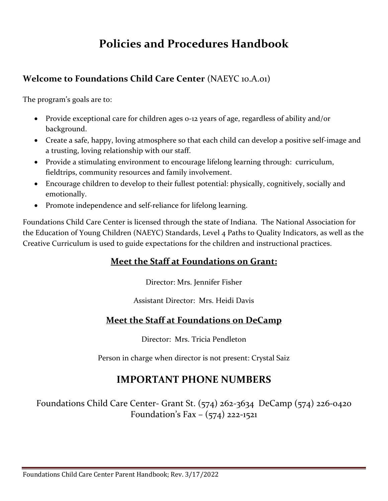## **Policies and Procedures Handbook**

### **Welcome to Foundations Child Care Center** (NAEYC 10.A.01)

The program's goals are to:

- Provide exceptional care for children ages o-12 years of age, regardless of ability and/or background.
- Create a safe, happy, loving atmosphere so that each child can develop a positive self-image and a trusting, loving relationship with our staff.
- Provide a stimulating environment to encourage lifelong learning through: curriculum, fieldtrips, community resources and family involvement.
- Encourage children to develop to their fullest potential: physically, cognitively, socially and emotionally.
- Promote independence and self-reliance for lifelong learning.

Foundations Child Care Center is licensed through the state of Indiana. The National Association for the Education of Young Children (NAEYC) Standards, Level 4 Paths to Quality Indicators, as well as the Creative Curriculum is used to guide expectations for the children and instructional practices.

### **Meet the Staff at Foundations on Grant:**

Director: Mrs. Jennifer Fisher

Assistant Director: Mrs. Heidi Davis

### **Meet the Staff at Foundations on DeCamp**

Director: Mrs. Tricia Pendleton

Person in charge when director is not present: Crystal Saiz

### **IMPORTANT PHONE NUMBERS**

Foundations Child Care Center- Grant St. (574) 262-3634 DeCamp (574) 226-0420 Foundation's Fax – (574) 222-1521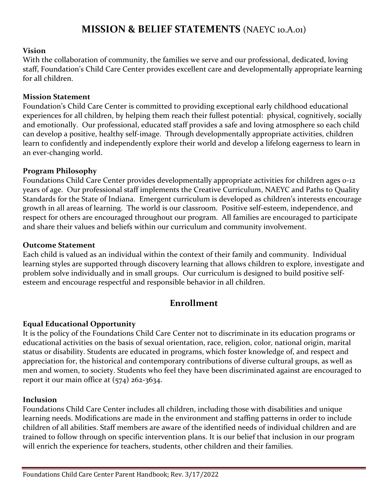### **MISSION & BELIEF STATEMENTS** (NAEYC 10.A.01)

#### **Vision**

With the collaboration of community, the families we serve and our professional, dedicated, loving staff, Foundation's Child Care Center provides excellent care and developmentally appropriate learning for all children.

#### **Mission Statement**

Foundation's Child Care Center is committed to providing exceptional early childhood educational experiences for all children, by helping them reach their fullest potential: physical, cognitively, socially and emotionally. Our professional, educated staff provides a safe and loving atmosphere so each child can develop a positive, healthy self-image. Through developmentally appropriate activities, children learn to confidently and independently explore their world and develop a lifelong eagerness to learn in an ever-changing world.

#### **Program Philosophy**

Foundations Child Care Center provides developmentally appropriate activities for children ages 0-12 years of age. Our professional staff implements the Creative Curriculum, NAEYC and Paths to Quality Standards for the State of Indiana. Emergent curriculum is developed as children's interests encourage growth in all areas of learning. The world is our classroom. Positive self-esteem, independence, and respect for others are encouraged throughout our program. All families are encouraged to participate and share their values and beliefs within our curriculum and community involvement.

#### **Outcome Statement**

Each child is valued as an individual within the context of their family and community. Individual learning styles are supported through discovery learning that allows children to explore, investigate and problem solve individually and in small groups. Our curriculum is designed to build positive selfesteem and encourage respectful and responsible behavior in all children.

### **Enrollment**

#### **Equal Educational Opportunity**

It is the policy of the Foundations Child Care Center not to discriminate in its education programs or educational activities on the basis of sexual orientation, race, religion, color, national origin, marital status or disability. Students are educated in programs, which foster knowledge of, and respect and appreciation for, the historical and contemporary contributions of diverse cultural groups, as well as men and women, to society. Students who feel they have been discriminated against are encouraged to report it our main office at  $(574)$  262-3634.

#### **Inclusion**

Foundations Child Care Center includes all children, including those with disabilities and unique learning needs. Modifications are made in the environment and staffing patterns in order to include children of all abilities. Staff members are aware of the identified needs of individual children and are trained to follow through on specific intervention plans. It is our belief that inclusion in our program will enrich the experience for teachers, students, other children and their families.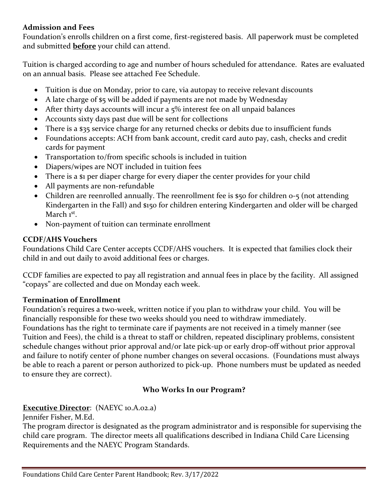#### **Admission and Fees**

Foundation's enrolls children on a first come, first-registered basis. All paperwork must be completed and submitted **before** your child can attend.

Tuition is charged according to age and number of hours scheduled for attendance. Rates are evaluated on an annual basis. Please see attached Fee Schedule.

- Tuition is due on Monday, prior to care, via autopay to receive relevant discounts
- A late charge of \$5 will be added if payments are not made by Wednesday
- After thirty days accounts will incur a 5% interest fee on all unpaid balances
- Accounts sixty days past due will be sent for collections
- There is a \$35 service charge for any returned checks or debits due to insufficient funds
- Foundations accepts: ACH from bank account, credit card auto pay, cash, checks and credit cards for payment
- Transportation to/from specific schools is included in tuition
- Diapers/wipes are NOT included in tuition fees
- There is a \$1 per diaper charge for every diaper the center provides for your child
- All payments are non-refundable
- Children are reenrolled annually. The reenrollment fee is \$50 for children 0-5 (not attending Kindergarten in the Fall) and \$150 for children entering Kindergarten and older will be charged March 1st.
- Non-payment of tuition can terminate enrollment

### **CCDF/AHS Vouchers**

Foundations Child Care Center accepts CCDF/AHS vouchers. It is expected that families clock their child in and out daily to avoid additional fees or charges.

CCDF families are expected to pay all registration and annual fees in place by the facility. All assigned "copays" are collected and due on Monday each week.

### **Termination of Enrollment**

Foundation's requires a two-week, written notice if you plan to withdraw your child. You will be financially responsible for these two weeks should you need to withdraw immediately.

Foundations has the right to terminate care if payments are not received in a timely manner (see Tuition and Fees), the child is a threat to staff or children, repeated disciplinary problems, consistent schedule changes without prior approval and/or late pick-up or early drop-off without prior approval and failure to notify center of phone number changes on several occasions. (Foundations must always be able to reach a parent or person authorized to pick-up. Phone numbers must be updated as needed to ensure they are correct).

### **Who Works In our Program?**

### **Executive Director**: (NAEYC 10.A.02.a)

Jennifer Fisher, M.Ed.

The program director is designated as the program administrator and is responsible for supervising the child care program. The director meets all qualifications described in Indiana Child Care Licensing Requirements and the NAEYC Program Standards.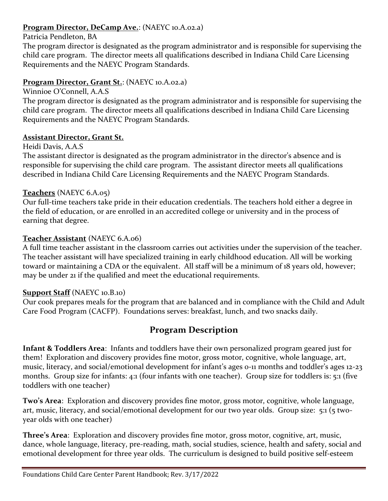### **Program Director, DeCamp Ave.**: (NAEYC 10.A.02.a)

Patricia Pendleton, BA

The program director is designated as the program administrator and is responsible for supervising the child care program. The director meets all qualifications described in Indiana Child Care Licensing Requirements and the NAEYC Program Standards.

### **Program Director, Grant St.**: (NAEYC 10.A.02.a)

Winnioe O'Connell, A.A.S

The program director is designated as the program administrator and is responsible for supervising the child care program. The director meets all qualifications described in Indiana Child Care Licensing Requirements and the NAEYC Program Standards.

### **Assistant Director, Grant St.**

Heidi Davis, A.A.S

The assistant director is designated as the program administrator in the director's absence and is responsible for supervising the child care program. The assistant director meets all qualifications described in Indiana Child Care Licensing Requirements and the NAEYC Program Standards.

### **Teachers** (NAEYC 6.A.05)

Our full-time teachers take pride in their education credentials. The teachers hold either a degree in the field of education, or are enrolled in an accredited college or university and in the process of earning that degree.

### **Teacher Assistant** (NAEYC 6.A.06)

A full time teacher assistant in the classroom carries out activities under the supervision of the teacher. The teacher assistant will have specialized training in early childhood education. All will be working toward or maintaining a CDA or the equivalent. All staff will be a minimum of 18 years old, however; may be under 21 if the qualified and meet the educational requirements.

### **Support Staff** (NAEYC 10.B.10)

Our cook prepares meals for the program that are balanced and in compliance with the Child and Adult Care Food Program (CACFP). Foundations serves: breakfast, lunch, and two snacks daily.

### **Program Description**

**Infant & Toddlers Area**: Infants and toddlers have their own personalized program geared just for them! Exploration and discovery provides fine motor, gross motor, cognitive, whole language, art, music, literacy, and social/emotional development for infant's ages 0-11 months and toddler's ages 12-23 months. Group size for infants: 4:1 (four infants with one teacher). Group size for toddlers is: 5:1 (five toddlers with one teacher)

**Two's Area**: Exploration and discovery provides fine motor, gross motor, cognitive, whole language, art, music, literacy, and social/emotional development for our two year olds. Group size: 5:1 (5 twoyear olds with one teacher)

**Three's Area**: Exploration and discovery provides fine motor, gross motor, cognitive, art, music, dance, whole language, literacy, pre-reading, math, social studies, science, health and safety, social and emotional development for three year olds. The curriculum is designed to build positive self-esteem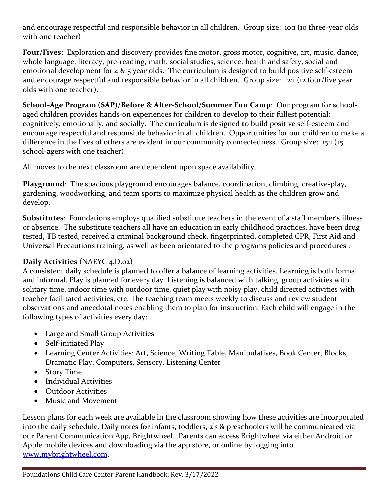and encourage respectful and responsible behavior in all children. Group size: 10:1 (10 three-year olds with one teacher)

**Four/Fives**: Exploration and discovery provides fine motor, gross motor, cognitive, art, music, dance, whole language, literacy, pre-reading, math, social studies, science, health and safety, social and emotional development for  $4 \& 5$  year olds. The curriculum is designed to build positive self-esteem and encourage respectful and responsible behavior in all children. Group size: 12:1 (12 four/five year olds with one teacher).

**School-Age Program (SAP)/Before & After-School/Summer Fun Camp**: Our program for schoolaged children provides hands-on experiences for children to develop to their fullest potential: cognitively, emotionally, and socially. The curriculum is designed to build positive self-esteem and encourage respectful and responsible behavior in all children. Opportunities for our children to make a difference in the lives of others are evident in our community connectedness. Group size: 15:1 (15 school-agers with one teacher)

All moves to the next classroom are dependent upon space availability.

**Playground**: The spacious playground encourages balance, coordination, climbing, creative-play, gardening, woodworking, and team sports to maximize physical health as the children grow and develop.

**Substitutes**:Foundations employs qualified substitute teachers in the event of a staff member's illness or absence. The substitute teachers all have an education in early childhood practices, have been drug tested, TB tested, received a criminal background check, fingerprinted, completed CPR, First Aid and Universal Precautions training, as well as been orientated to the programs policies and procedures .

### **Daily Activities** (NAEYC 4.D.02)

A consistent daily schedule is planned to offer a balance of learning activities. Learning is both formal and informal. Play is planned for every day. Listening is balanced with talking, group activities with solitary time, indoor time with outdoor time, quiet play with noisy play, child directed activities with teacher facilitated activities, etc. The teaching team meets weekly to discuss and review student observations and anecdotal notes enabling them to plan for instruction. Each child will engage in the following types of activities every day:

- Large and Small Group Activities
- Self-initiated Play
- Learning Center Activities: Art, Science, Writing Table, Manipulatives, Book Center, Blocks, Dramatic Play, Computers, Sensory, Listening Center
- Story Time
- Individual Activities
- Outdoor Activities
- Music and Movement

Lesson plans for each week are available in the classroom showing how these activities are incorporated into the daily schedule. Daily notes for infants, toddlers, 2's & preschoolers will be communicated via our Parent Communication App, Brightwheel. Parents can access Brightwheel via either Android or Apple mobile devices and downloading via the app store, or online by logging into [www.mybrightwheel.com.](http://www.mybrightwheel.com/)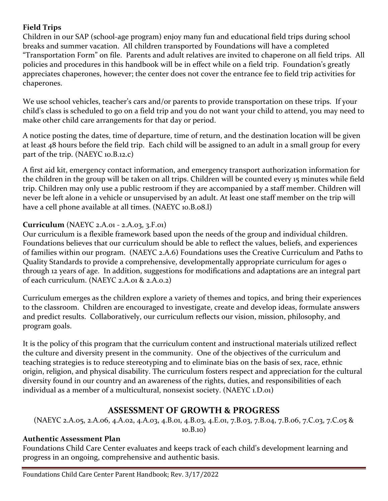### **Field Trips**

Children in our SAP (school-age program) enjoy many fun and educational field trips during school breaks and summer vacation. All children transported by Foundations will have a completed "Transportation Form" on file. Parents and adult relatives are invited to chaperone on all field trips. All policies and procedures in this handbook will be in effect while on a field trip. Foundation's greatly appreciates chaperones, however; the center does not cover the entrance fee to field trip activities for chaperones.

We use school vehicles, teacher's cars and/or parents to provide transportation on these trips. If your child's class is scheduled to go on a field trip and you do not want your child to attend, you may need to make other child care arrangements for that day or period.

A notice posting the dates, time of departure, time of return, and the destination location will be given at least 48 hours before the field trip. Each child will be assigned to an adult in a small group for every part of the trip. (NAEYC 10.B.12.c)

A first aid kit, emergency contact information, and emergency transport authorization information for the children in the group will be taken on all trips. Children will be counted every 15 minutes while field trip. Children may only use a public restroom if they are accompanied by a staff member. Children will never be left alone in a vehicle or unsupervised by an adult. At least one staff member on the trip will have a cell phone available at all times. (NAEYC 10.B.08.l)

### **Curriculum** (NAEYC 2.A.01 - 2.A.03, 3.F.01)

Our curriculum is a flexible framework based upon the needs of the group and individual children. Foundations believes that our curriculum should be able to reflect the values, beliefs, and experiences of families within our program. (NAEYC 2.A.6) Foundations uses the Creative Curriculum and Paths to Quality Standards to provide a comprehensive, developmentally appropriate curriculum for ages 0 through 12 years of age. In addition, suggestions for modifications and adaptations are an integral part of each curriculum. (NAEYC 2.A.01 & 2.A.0.2)

Curriculum emerges as the children explore a variety of themes and topics, and bring their experiences to the classroom. Children are encouraged to investigate, create and develop ideas, formulate answers and predict results. Collaboratively, our curriculum reflects our vision, mission, philosophy, and program goals.

It is the policy of this program that the curriculum content and instructional materials utilized reflect the culture and diversity present in the community. One of the objectives of the curriculum and teaching strategies is to reduce stereotyping and to eliminate bias on the basis of sex, race, ethnic origin, religion, and physical disability. The curriculum fosters respect and appreciation for the cultural diversity found in our country and an awareness of the rights, duties, and responsibilities of each individual as a member of a multicultural, nonsexist society. (NAEYC 1.D.01)

### **ASSESSMENT OF GROWTH & PROGRESS**

(NAEYC 2.A.05, 2.A.06, 4.A.02, 4.A.03, 4.B.01, 4.B.03, 4.E.01, 7.B.03, 7.B.04, 7.B.06, 7.C.03, 7.C.05 & 10.B.10)

### **Authentic Assessment Plan**

Foundations Child Care Center evaluates and keeps track of each child's development learning and progress in an ongoing, comprehensive and authentic basis.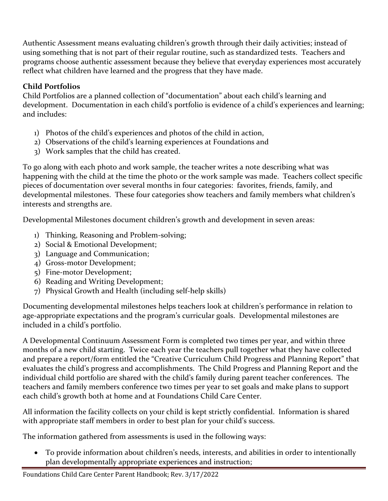Authentic Assessment means evaluating children's growth through their daily activities; instead of using something that is not part of their regular routine, such as standardized tests. Teachers and programs choose authentic assessment because they believe that everyday experiences most accurately reflect what children have learned and the progress that they have made.

### **Child Portfolios**

Child Portfolios are a planned collection of "documentation" about each child's learning and development. Documentation in each child's portfolio is evidence of a child's experiences and learning; and includes:

- 1) Photos of the child's experiences and photos of the child in action,
- 2) Observations of the child's learning experiences at Foundations and
- 3) Work samples that the child has created.

To go along with each photo and work sample, the teacher writes a note describing what was happening with the child at the time the photo or the work sample was made. Teachers collect specific pieces of documentation over several months in four categories: favorites, friends, family, and developmental milestones. These four categories show teachers and family members what children's interests and strengths are.

Developmental Milestones document children's growth and development in seven areas:

- 1) Thinking, Reasoning and Problem-solving;
- 2) Social & Emotional Development;
- 3) Language and Communication;
- 4) Gross-motor Development;
- 5) Fine-motor Development;
- 6) Reading and Writing Development;
- 7) Physical Growth and Health (including self-help skills)

Documenting developmental milestones helps teachers look at children's performance in relation to age-appropriate expectations and the program's curricular goals. Developmental milestones are included in a child's portfolio.

A Developmental Continuum Assessment Form is completed two times per year, and within three months of a new child starting. Twice each year the teachers pull together what they have collected and prepare a report/form entitled the "Creative Curriculum Child Progress and Planning Report" that evaluates the child's progress and accomplishments. The Child Progress and Planning Report and the individual child portfolio are shared with the child's family during parent teacher conferences. The teachers and family members conference two times per year to set goals and make plans to support each child's growth both at home and at Foundations Child Care Center.

All information the facility collects on your child is kept strictly confidential. Information is shared with appropriate staff members in order to best plan for your child's success.

The information gathered from assessments is used in the following ways:

• To provide information about children's needs, interests, and abilities in order to intentionally plan developmentally appropriate experiences and instruction;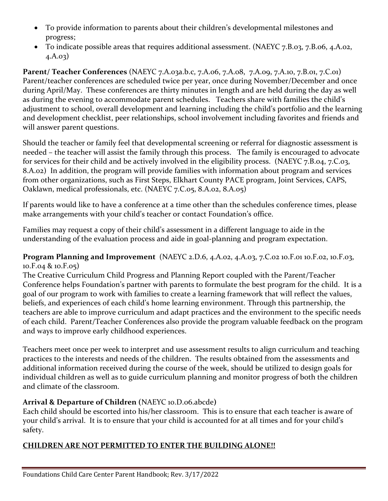- To provide information to parents about their children's developmental milestones and progress;
- To indicate possible areas that requires additional assessment. (NAEYC 7.B.03, 7.B.06, 4.A.02, 4.A.03)

**Parent/ Teacher Conferences** (NAEYC 7.A.03a.b.c, 7.A.06, 7.A.08, 7.A.09, 7.A.10, 7.B.01, 7.C.01) Parent/teacher conferences are scheduled twice per year, once during November/December and once during April/May. These conferences are thirty minutes in length and are held during the day as well as during the evening to accommodate parent schedules. Teachers share with families the child's adjustment to school, overall development and learning including the child's portfolio and the learning and development checklist, peer relationships, school involvement including favorites and friends and will answer parent questions.

Should the teacher or family feel that developmental screening or referral for diagnostic assessment is needed – the teacher will assist the family through this process. The family is encouraged to advocate for services for their child and be actively involved in the eligibility process. (NAEYC 7.B.04, 7.C.03, 8.A.02) In addition, the program will provide families with information about program and services from other organizations, such as First Steps, Elkhart County PACE program, Joint Services, CAPS, Oaklawn, medical professionals, etc. (NAEYC 7.C.05, 8.A.02, 8.A.05)

If parents would like to have a conference at a time other than the schedules conference times, please make arrangements with your child's teacher or contact Foundation's office.

Families may request a copy of their child's assessment in a different language to aide in the understanding of the evaluation process and aide in goal-planning and program expectation.

**Program Planning and Improvement** (NAEYC 2.D.6, 4.A.02, 4.A.03, 7.C.02 10.F.01 10.F.02, 10.F.03, 10.F.04 & 10.F.05)

The Creative Curriculum Child Progress and Planning Report coupled with the Parent/Teacher Conference helps Foundation's partner with parents to formulate the best program for the child. It is a goal of our program to work with families to create a learning framework that will reflect the values, beliefs, and experiences of each child's home learning environment. Through this partnership, the teachers are able to improve curriculum and adapt practices and the environment to the specific needs of each child. Parent/Teacher Conferences also provide the program valuable feedback on the program and ways to improve early childhood experiences.

Teachers meet once per week to interpret and use assessment results to align curriculum and teaching practices to the interests and needs of the children. The results obtained from the assessments and additional information received during the course of the week, should be utilized to design goals for individual children as well as to guide curriculum planning and monitor progress of both the children and climate of the classroom.

### **Arrival & Departure of Children (**NAEYC 10.D.06.abcde**)**

Each child should be escorted into his/her classroom. This is to ensure that each teacher is aware of your child's arrival. It is to ensure that your child is accounted for at all times and for your child's safety.

### **CHILDREN ARE NOT PERMITTED TO ENTER THE BUILDING ALONE!!**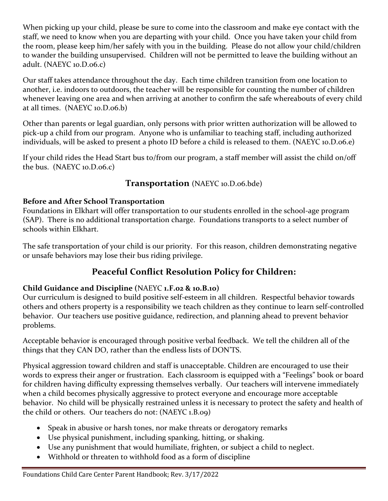When picking up your child, please be sure to come into the classroom and make eye contact with the staff, we need to know when you are departing with your child. Once you have taken your child from the room, please keep him/her safely with you in the building. Please do not allow your child/children to wander the building unsupervised. Children will not be permitted to leave the building without an adult. (NAEYC 10.D.06.c)

Our staff takes attendance throughout the day. Each time children transition from one location to another, i.e. indoors to outdoors, the teacher will be responsible for counting the number of children whenever leaving one area and when arriving at another to confirm the safe whereabouts of every child at all times. (NAEYC 10.D.06.b)

Other than parents or legal guardian, only persons with prior written authorization will be allowed to pick-up a child from our program. Anyone who is unfamiliar to teaching staff, including authorized individuals, will be asked to present a photo ID before a child is released to them. (NAEYC 10.D.06.e)

If your child rides the Head Start bus to/from our program, a staff member will assist the child on/off the bus. (NAEYC 10.D.06.c)

### **Transportation** (NAEYC 10.D.06.bde)

### **Before and After School Transportation**

Foundations in Elkhart will offer transportation to our students enrolled in the school-age program (SAP). There is no additional transportation charge. Foundations transports to a select number of schools within Elkhart.

The safe transportation of your child is our priority. For this reason, children demonstrating negative or unsafe behaviors may lose their bus riding privilege.

### **Peaceful Conflict Resolution Policy for Children:**

### **Child Guidance and Discipline (**NAEYC **1.F.02 & 10.B.10)**

Our curriculum is designed to build positive self-esteem in all children. Respectful behavior towards others and others property is a responsibility we teach children as they continue to learn self-controlled behavior. Our teachers use positive guidance, redirection, and planning ahead to prevent behavior problems.

Acceptable behavior is encouraged through positive verbal feedback. We tell the children all of the things that they CAN DO, rather than the endless lists of DON'TS.

Physical aggression toward children and staff is unacceptable. Children are encouraged to use their words to express their anger or frustration. Each classroom is equipped with a "Feelings" book or board for children having difficulty expressing themselves verbally. Our teachers will intervene immediately when a child becomes physically aggressive to protect everyone and encourage more acceptable behavior. No child will be physically restrained unless it is necessary to protect the safety and health of the child or others. Our teachers do not: (NAEYC 1.B.09)

- Speak in abusive or harsh tones, nor make threats or derogatory remarks
- Use physical punishment, including spanking, hitting, or shaking.
- Use any punishment that would humiliate, frighten, or subject a child to neglect.
- Withhold or threaten to withhold food as a form of discipline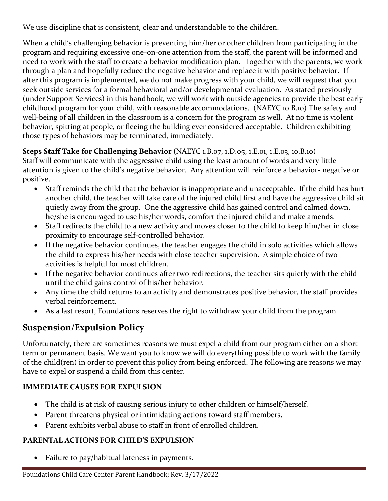We use discipline that is consistent, clear and understandable to the children.

When a child's challenging behavior is preventing him/her or other children from participating in the program and requiring excessive one-on-one attention from the staff, the parent will be informed and need to work with the staff to create a behavior modification plan. Together with the parents, we work through a plan and hopefully reduce the negative behavior and replace it with positive behavior. If after this program is implemented, we do not make progress with your child, we will request that you seek outside services for a formal behavioral and/or developmental evaluation. As stated previously (under Support Services) in this handbook, we will work with outside agencies to provide the best early childhood program for your child, with reasonable accommodations. (NAEYC 10.B.10) The safety and well-being of all children in the classroom is a concern for the program as well. At no time is violent behavior, spitting at people, or fleeing the building ever considered acceptable. Children exhibiting those types of behaviors may be terminated, immediately.

### **Steps Staff Take for Challenging Behavior** (NAEYC 1.B.07, 1.D.05, 1.E.01, 1.E.03, 10.B.10)

Staff will communicate with the aggressive child using the least amount of words and very little attention is given to the child's negative behavior. Any attention will reinforce a behavior- negative or positive.

- Staff reminds the child that the behavior is inappropriate and unacceptable. If the child has hurt another child, the teacher will take care of the injured child first and have the aggressive child sit quietly away from the group. One the aggressive child has gained control and calmed down, he/she is encouraged to use his/her words, comfort the injured child and make amends.
- Staff redirects the child to a new activity and moves closer to the child to keep him/her in close proximity to encourage self-controlled behavior.
- If the negative behavior continues, the teacher engages the child in solo activities which allows the child to express his/her needs with close teacher supervision. A simple choice of two activities is helpful for most children.
- If the negative behavior continues after two redirections, the teacher sits quietly with the child until the child gains control of his/her behavior.
- Any time the child returns to an activity and demonstrates positive behavior, the staff provides verbal reinforcement.
- As a last resort, Foundations reserves the right to withdraw your child from the program.

### **Suspension/Expulsion Policy**

Unfortunately, there are sometimes reasons we must expel a child from our program either on a short term or permanent basis. We want you to know we will do everything possible to work with the family of the child(ren) in order to prevent this policy from being enforced. The following are reasons we may have to expel or suspend a child from this center.

### **IMMEDIATE CAUSES FOR EXPULSION**

- The child is at risk of causing serious injury to other children or himself/herself.
- Parent threatens physical or intimidating actions toward staff members.
- Parent exhibits verbal abuse to staff in front of enrolled children.

### **PARENTAL ACTIONS FOR CHILD'S EXPULSION**

• Failure to pay/habitual lateness in payments.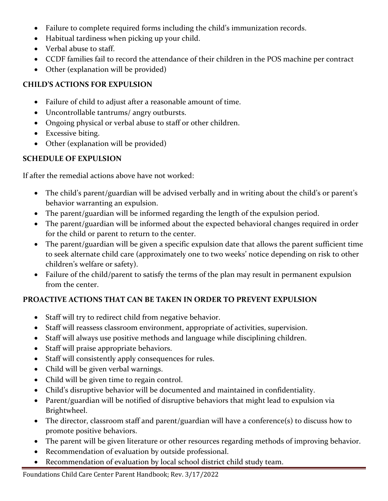- Failure to complete required forms including the child's immunization records.
- Habitual tardiness when picking up your child.
- Verbal abuse to staff.
- CCDF families fail to record the attendance of their children in the POS machine per contract
- Other (explanation will be provided)

### **CHILD'S ACTIONS FOR EXPULSION**

- Failure of child to adjust after a reasonable amount of time.
- Uncontrollable tantrums/ angry outbursts.
- Ongoing physical or verbal abuse to staff or other children.
- Excessive biting.
- Other (explanation will be provided)

### **SCHEDULE OF EXPULSION**

If after the remedial actions above have not worked:

- The child's parent/guardian will be advised verbally and in writing about the child's or parent's behavior warranting an expulsion.
- The parent/guardian will be informed regarding the length of the expulsion period.
- The parent/guardian will be informed about the expected behavioral changes required in order for the child or parent to return to the center.
- The parent/guardian will be given a specific expulsion date that allows the parent sufficient time to seek alternate child care (approximately one to two weeks' notice depending on risk to other children's welfare or safety).
- Failure of the child/parent to satisfy the terms of the plan may result in permanent expulsion from the center.

### **PROACTIVE ACTIONS THAT CAN BE TAKEN IN ORDER TO PREVENT EXPULSION**

- Staff will try to redirect child from negative behavior.
- Staff will reassess classroom environment, appropriate of activities, supervision.
- Staff will always use positive methods and language while disciplining children.
- Staff will praise appropriate behaviors.
- Staff will consistently apply consequences for rules.
- Child will be given verbal warnings.
- Child will be given time to regain control.
- Child's disruptive behavior will be documented and maintained in confidentiality.
- Parent/guardian will be notified of disruptive behaviors that might lead to expulsion via Brightwheel.
- The director, classroom staff and parent/guardian will have a conference(s) to discuss how to promote positive behaviors.
- The parent will be given literature or other resources regarding methods of improving behavior.
- Recommendation of evaluation by outside professional.
- Recommendation of evaluation by local school district child study team.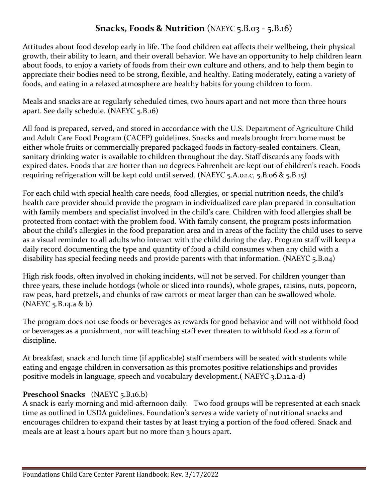### **Snacks, Foods & Nutrition** (NAEYC 5.B.03 - 5.B.16)

Attitudes about food develop early in life. The food children eat affects their wellbeing, their physical growth, their ability to learn, and their overall behavior. We have an opportunity to help children learn about foods, to enjoy a variety of foods from their own culture and others, and to help them begin to appreciate their bodies need to be strong, flexible, and healthy. Eating moderately, eating a variety of foods, and eating in a relaxed atmosphere are healthy habits for young children to form.

Meals and snacks are at regularly scheduled times, two hours apart and not more than three hours apart. See daily schedule. (NAEYC 5.B.16)

All food is prepared, served, and stored in accordance with the U.S. Department of Agriculture Child and Adult Care Food Program (CACFP) guidelines. Snacks and meals brought from home must be either whole fruits or commercially prepared packaged foods in factory-sealed containers. Clean, sanitary drinking water is available to children throughout the day. Staff discards any foods with expired dates. Foods that are hotter than 110 degrees Fahrenheit are kept out of children's reach. Foods requiring refrigeration will be kept cold until served. (NAEYC  $5.A.02.C.5.B.06 & 5.B.15$ )

For each child with special health care needs, food allergies, or special nutrition needs, the child's health care provider should provide the program in individualized care plan prepared in consultation with family members and specialist involved in the child's care. Children with food allergies shall be protected from contact with the problem food. With family consent, the program posts information about the child's allergies in the food preparation area and in areas of the facility the child uses to serve as a visual reminder to all adults who interact with the child during the day. Program staff will keep a daily record documenting the type and quantity of food a child consumes when any child with a disability has special feeding needs and provide parents with that information. (NAEYC 5.B.04)

High risk foods, often involved in choking incidents, will not be served. For children younger than three years, these include hotdogs (whole or sliced into rounds), whole grapes, raisins, nuts, popcorn, raw peas, hard pretzels, and chunks of raw carrots or meat larger than can be swallowed whole. (NAEYC 5.B.14.a & b)

The program does not use foods or beverages as rewards for good behavior and will not withhold food or beverages as a punishment, nor will teaching staff ever threaten to withhold food as a form of discipline.

At breakfast, snack and lunch time (if applicable) staff members will be seated with students while eating and engage children in conversation as this promotes positive relationships and provides positive models in language, speech and vocabulary development.( NAEYC 3.D.12.a-d)

### **Preschool Snacks** (NAEYC 5.B.16.b)

A snack is early morning and mid-afternoon daily. Two food groups will be represented at each snack time as outlined in USDA guidelines. Foundation's serves a wide variety of nutritional snacks and encourages children to expand their tastes by at least trying a portion of the food offered. Snack and meals are at least 2 hours apart but no more than 3 hours apart.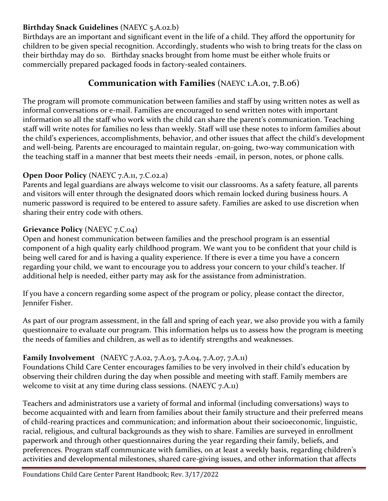### **Birthday Snack Guidelines** (NAEYC 5.A.02.b)

Birthdays are an important and significant event in the life of a child. They afford the opportunity for children to be given special recognition. Accordingly, students who wish to bring treats for the class on their birthday may do so. Birthday snacks brought from home must be either whole fruits or commercially prepared packaged foods in factory-sealed containers.

### **Communication with Families** (NAEYC 1.A.01, 7.B.06)

The program will promote communication between families and staff by using written notes as well as informal conversations or e-mail. Families are encouraged to send written notes with important information so all the staff who work with the child can share the parent's communication. Teaching staff will write notes for families no less than weekly. Staff will use these notes to inform families about the child's experiences, accomplishments, behavior, and other issues that affect the child's development and well-being. Parents are encouraged to maintain regular, on-going, two-way communication with the teaching staff in a manner that best meets their needs -email, in person, notes, or phone calls.

### **Open Door Policy** (NAEYC 7.A.11, 7.C.02.a)

Parents and legal guardians are always welcome to visit our classrooms. As a safety feature, all parents and visitors will enter through the designated doors which remain locked during business hours. A numeric password is required to be entered to assure safety. Families are asked to use discretion when sharing their entry code with others.

### **Grievance Policy** (NAEYC 7.C.04)

Open and honest communication between families and the preschool program is an essential component of a high quality early childhood program. We want you to be confident that your child is being well cared for and is having a quality experience. If there is ever a time you have a concern regarding your child, we want to encourage you to address your concern to your child's teacher. If additional help is needed, either party may ask for the assistance from administration.

If you have a concern regarding some aspect of the program or policy, please contact the director, Jennifer Fisher.

As part of our program assessment, in the fall and spring of each year, we also provide you with a family questionnaire to evaluate our program. This information helps us to assess how the program is meeting the needs of families and children, as well as to identify strengths and weaknesses.

### **Family Involvement** (NAEYC 7.A.02, 7.A.03, 7.A.04, 7.A.07, 7.A.11)

Foundations Child Care Center encourages families to be very involved in their child's education by observing their children during the day when possible and meeting with staff. Family members are welcome to visit at any time during class sessions. (NAEYC 7.A.11)

Teachers and administrators use a variety of formal and informal (including conversations) ways to become acquainted with and learn from families about their family structure and their preferred means of child-rearing practices and communication; and information about their socioeconomic, linguistic, racial, religious, and cultural backgrounds as they wish to share. Families are surveyed in enrollment paperwork and through other questionnaires during the year regarding their family, beliefs, and preferences. Program staff communicate with families, on at least a weekly basis, regarding children's activities and developmental milestones, shared care-giving issues, and other information that affects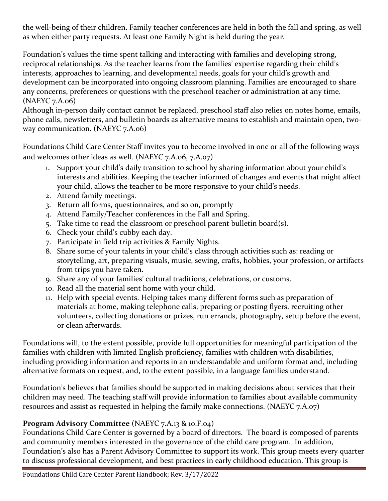the well-being of their children. Family teacher conferences are held in both the fall and spring, as well as when either party requests. At least one Family Night is held during the year.

Foundation's values the time spent talking and interacting with families and developing strong, reciprocal relationships. As the teacher learns from the families' expertise regarding their child's interests, approaches to learning, and developmental needs, goals for your child's growth and development can be incorporated into ongoing classroom planning. Families are encouraged to share any concerns, preferences or questions with the preschool teacher or administration at any time. (NAEYC 7.A.06)

Although in-person daily contact cannot be replaced, preschool staff also relies on notes home, emails, phone calls, newsletters, and bulletin boards as alternative means to establish and maintain open, twoway communication. (NAEYC 7.A.06)

Foundations Child Care Center Staff invites you to become involved in one or all of the following ways and welcomes other ideas as well. (NAEYC 7.A.06, 7.A.07)

- 1. Support your child's daily transition to school by sharing information about your child's interests and abilities. Keeping the teacher informed of changes and events that might affect your child, allows the teacher to be more responsive to your child's needs.
- 2. Attend family meetings.
- 3. Return all forms, questionnaires, and so on, promptly
- 4. Attend Family/Teacher conferences in the Fall and Spring.
- 5. Take time to read the classroom or preschool parent bulletin board(s).
- 6. Check your child's cubby each day.
- 7. Participate in field trip activities & Family Nights.
- 8. Share some of your talents in your child's class through activities such as: reading or storytelling, art, preparing visuals, music, sewing, crafts, hobbies, your profession, or artifacts from trips you have taken.
- 9. Share any of your families' cultural traditions, celebrations, or customs.
- 10. Read all the material sent home with your child.
- 11. Help with special events. Helping takes many different forms such as preparation of materials at home, making telephone calls, preparing or posting flyers, recruiting other volunteers, collecting donations or prizes, run errands, photography, setup before the event, or clean afterwards.

Foundations will, to the extent possible, provide full opportunities for meaningful participation of the families with children with limited English proficiency, families with children with disabilities, including providing information and reports in an understandable and uniform format and, including alternative formats on request, and, to the extent possible, in a language families understand.

Foundation's believes that families should be supported in making decisions about services that their children may need. The teaching staff will provide information to families about available community resources and assist as requested in helping the family make connections. (NAEYC 7.A.07)

### **Program Advisory Committee** (NAEYC 7.A.13 & 10.F.04)

Foundations Child Care Center is governed by a board of directors. The board is composed of parents and community members interested in the governance of the child care program. In addition, Foundation's also has a Parent Advisory Committee to support its work. This group meets every quarter to discuss professional development, and best practices in early childhood education. This group is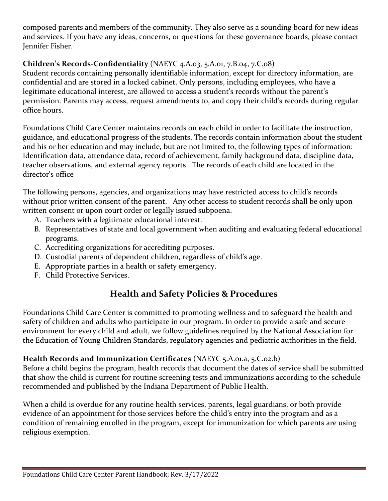composed parents and members of the community. They also serve as a sounding board for new ideas and services. If you have any ideas, concerns, or questions for these governance boards, please contact Jennifer Fisher.

### **Children's Records-Confidentiality** (NAEYC 4.A.03, 5.A.01, 7.B.04, 7.C.08)

Student records containing personally identifiable information, except for directory information, are confidential and are stored in a locked cabinet. Only persons, including employees, who have a legitimate educational interest, are allowed to access a student's records without the parent's permission. Parents may access, request amendments to, and copy their child's records during regular office hours.

Foundations Child Care Center maintains records on each child in order to facilitate the instruction, guidance, and educational progress of the students. The records contain information about the student and his or her education and may include, but are not limited to, the following types of information: Identification data, attendance data, record of achievement, family background data, discipline data, teacher observations, and external agency reports. The records of each child are located in the director's office

The following persons, agencies, and organizations may have restricted access to child's records without prior written consent of the parent. Any other access to student records shall be only upon written consent or upon court order or legally issued subpoena.

- A. Teachers with a legitimate educational interest.
- B. Representatives of state and local government when auditing and evaluating federal educational programs.
- C. Accrediting organizations for accrediting purposes.
- D. Custodial parents of dependent children, regardless of child's age.
- E. Appropriate parties in a health or safety emergency.
- F. Child Protective Services.

### **Health and Safety Policies & Procedures**

Foundations Child Care Center is committed to promoting wellness and to safeguard the health and safety of children and adults who participate in our program. In order to provide a safe and secure environment for every child and adult, we follow guidelines required by the National Association for the Education of Young Children Standards, regulatory agencies and pediatric authorities in the field.

### **Health Records and Immunization Certificates** (NAEYC 5.A.01.a, 5.C.02.b)

Before a child begins the program, health records that document the dates of service shall be submitted that show the child is current for routine screening tests and immunizations according to the schedule recommended and published by the Indiana Department of Public Health.

When a child is overdue for any routine health services, parents, legal guardians, or both provide evidence of an appointment for those services before the child's entry into the program and as a condition of remaining enrolled in the program, except for immunization for which parents are using religious exemption.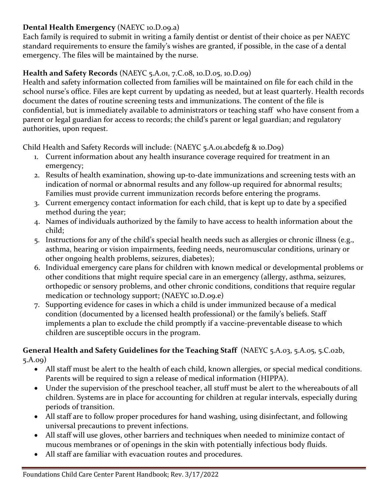### **Dental Health Emergency** (NAEYC 10.D.09.a)

Each family is required to submit in writing a family dentist or dentist of their choice as per NAEYC standard requirements to ensure the family's wishes are granted, if possible, in the case of a dental emergency. The files will be maintained by the nurse.

### **Health and Safety Records** (NAEYC 5.A.01, 7.C.08, 10.D.05, 10.D.09)

Health and safety information collected from families will be maintained on file for each child in the school nurse's office. Files are kept current by updating as needed, but at least quarterly. Health records document the dates of routine screening tests and immunizations. The content of the file is confidential, but is immediately available to administrators or teaching staff who have consent from a parent or legal guardian for access to records; the child's parent or legal guardian; and regulatory authorities, upon request.

Child Health and Safety Records will include: (NAEYC 5.A.01.abcdefg & 10.D09)

- 1. Current information about any health insurance coverage required for treatment in an emergency;
- 2. Results of health examination, showing up-to-date immunizations and screening tests with an indication of normal or abnormal results and any follow-up required for abnormal results; Families must provide current immunization records before entering the programs.
- 3. Current emergency contact information for each child, that is kept up to date by a specified method during the year;
- 4. Names of individuals authorized by the family to have access to health information about the child;
- 5. Instructions for any of the child's special health needs such as allergies or chronic illness (e.g., asthma, hearing or vision impairments, feeding needs, neuromuscular conditions, urinary or other ongoing health problems, seizures, diabetes);
- 6. Individual emergency care plans for children with known medical or developmental problems or other conditions that might require special care in an emergency (allergy, asthma, seizures, orthopedic or sensory problems, and other chronic conditions, conditions that require regular medication or technology support; (NAEYC 10.D.09.e)
- 7. Supporting evidence for cases in which a child is under immunized because of a medical condition (documented by a licensed health professional) or the family's beliefs. Staff implements a plan to exclude the child promptly if a vaccine-preventable disease to which children are susceptible occurs in the program.

### **General Health and Safety Guidelines for the Teaching Staff** (NAEYC 5.A.03, 5.A.05, 5.C.02b, 5.A.09)

- All staff must be alert to the health of each child, known allergies, or special medical conditions. Parents will be required to sign a release of medical information (HIPPA).
- Under the supervision of the preschool teacher, all stuff must be alert to the whereabouts of all children. Systems are in place for accounting for children at regular intervals, especially during periods of transition.
- All staff are to follow proper procedures for hand washing, using disinfectant, and following universal precautions to prevent infections.
- All staff will use gloves, other barriers and techniques when needed to minimize contact of mucous membranes or of openings in the skin with potentially infectious body fluids.
- All staff are familiar with evacuation routes and procedures.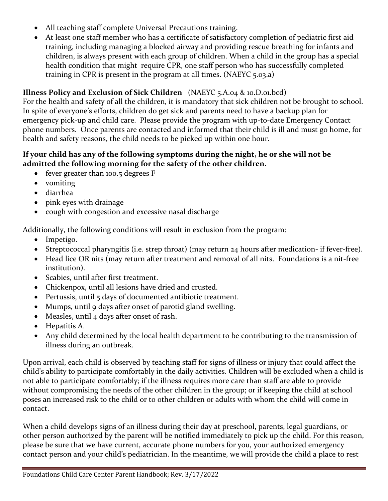- All teaching staff complete Universal Precautions training.
- At least one staff member who has a certificate of satisfactory completion of pediatric first aid training, including managing a blocked airway and providing rescue breathing for infants and children, is always present with each group of children. When a child in the group has a special health condition that might require CPR, one staff person who has successfully completed training in CPR is present in the program at all times. (NAEYC 5.03.a)

### **Illness Policy and Exclusion of Sick Children** (NAEYC 5.A.04 & 10.D.01.bcd)

For the health and safety of all the children, it is mandatory that sick children not be brought to school. In spite of everyone's efforts, children do get sick and parents need to have a backup plan for emergency pick-up and child care. Please provide the program with up-to-date Emergency Contact phone numbers. Once parents are contacted and informed that their child is ill and must go home, for health and safety reasons, the child needs to be picked up within one hour.

#### **If your child has any of the following symptoms during the night, he or she will not be admitted the following morning for the safety of the other children.**

- fever greater than 100.5 degrees F
- vomiting
- diarrhea
- pink eyes with drainage
- cough with congestion and excessive nasal discharge

Additionally, the following conditions will result in exclusion from the program:

- Impetigo.
- Streptococcal pharyngitis (i.e. strep throat) (may return 24 hours after medication- if fever-free).
- Head lice OR nits (may return after treatment and removal of all nits. Foundations is a nit-free institution).
- Scabies, until after first treatment.
- Chickenpox, until all lesions have dried and crusted.
- Pertussis, until 5 days of documented antibiotic treatment.
- Mumps, until 9 days after onset of parotid gland swelling.
- Measles, until 4 days after onset of rash.
- Hepatitis A.
- Any child determined by the local health department to be contributing to the transmission of illness during an outbreak.

Upon arrival, each child is observed by teaching staff for signs of illness or injury that could affect the child's ability to participate comfortably in the daily activities. Children will be excluded when a child is not able to participate comfortably; if the illness requires more care than staff are able to provide without compromising the needs of the other children in the group; or if keeping the child at school poses an increased risk to the child or to other children or adults with whom the child will come in contact.

When a child develops signs of an illness during their day at preschool, parents, legal guardians, or other person authorized by the parent will be notified immediately to pick up the child. For this reason, please be sure that we have current, accurate phone numbers for you, your authorized emergency contact person and your child's pediatrician. In the meantime, we will provide the child a place to rest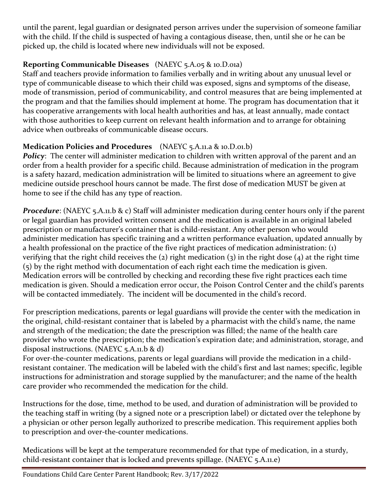until the parent, legal guardian or designated person arrives under the supervision of someone familiar with the child. If the child is suspected of having a contagious disease, then, until she or he can be picked up, the child is located where new individuals will not be exposed.

### **Reporting Communicable Diseases** (NAEYC 5.A.05 & 10.D.01a)

Staff and teachers provide information to families verbally and in writing about any unusual level or type of communicable disease to which their child was exposed, signs and symptoms of the disease, mode of transmission, period of communicability, and control measures that are being implemented at the program and that the families should implement at home. The program has documentation that it has cooperative arrangements with local health authorities and has, at least annually, made contact with those authorities to keep current on relevant health information and to arrange for obtaining advice when outbreaks of communicable disease occurs.

### **Medication Policies and Procedures** (NAEYC 5.A.11.a & 10.D.01.b)

*Policy*: The center will administer medication to children with written approval of the parent and an order from a health provider for a specific child. Because administration of medication in the program is a safety hazard, medication administration will be limited to situations where an agreement to give medicine outside preschool hours cannot be made. The first dose of medication MUST be given at home to see if the child has any type of reaction.

*Procedure*: (NAEYC 5.A.11.b & c) Staff will administer medication during center hours only if the parent or legal guardian has provided written consent and the medication is available in an original labeled prescription or manufacturer's container that is child-resistant. Any other person who would administer medication has specific training and a written performance evaluation, updated annually by a health professional on the practice of the five right practices of medication administration: (1) verifying that the right child receives the  $(2)$  right medication  $(3)$  in the right dose  $(4)$  at the right time (5) by the right method with documentation of each right each time the medication is given. Medication errors will be controlled by checking and recording these five right practices each time medication is given. Should a medication error occur, the Poison Control Center and the child's parents will be contacted immediately. The incident will be documented in the child's record.

For prescription medications, parents or legal guardians will provide the center with the medication in the original, child-resistant container that is labeled by a pharmacist with the child's name, the name and strength of the medication; the date the prescription was filled; the name of the health care provider who wrote the prescription; the medication's expiration date; and administration, storage, and disposal instructions. (NAEYC 5.A.11.b & d)

For over-the-counter medications, parents or legal guardians will provide the medication in a childresistant container. The medication will be labeled with the child's first and last names; specific, legible instructions for administration and storage supplied by the manufacturer; and the name of the health care provider who recommended the medication for the child.

Instructions for the dose, time, method to be used, and duration of administration will be provided to the teaching staff in writing (by a signed note or a prescription label) or dictated over the telephone by a physician or other person legally authorized to prescribe medication. This requirement applies both to prescription and over-the-counter medications.

Medications will be kept at the temperature recommended for that type of medication, in a sturdy, child-resistant container that is locked and prevents spillage. (NAEYC 5.A.11.e)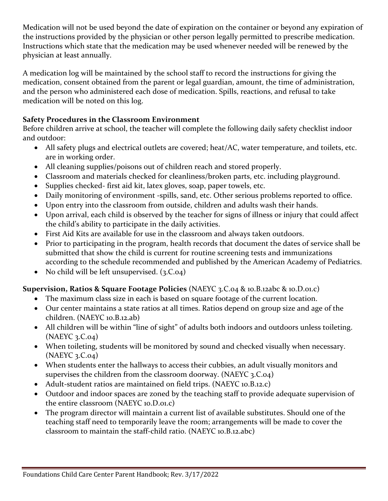Medication will not be used beyond the date of expiration on the container or beyond any expiration of the instructions provided by the physician or other person legally permitted to prescribe medication. Instructions which state that the medication may be used whenever needed will be renewed by the physician at least annually.

A medication log will be maintained by the school staff to record the instructions for giving the medication, consent obtained from the parent or legal guardian, amount, the time of administration, and the person who administered each dose of medication. Spills, reactions, and refusal to take medication will be noted on this log.

### **Safety Procedures in the Classroom Environment**

Before children arrive at school, the teacher will complete the following daily safety checklist indoor and outdoor:

- All safety plugs and electrical outlets are covered; heat/AC, water temperature, and toilets, etc. are in working order.
- All cleaning supplies/poisons out of children reach and stored properly.
- Classroom and materials checked for cleanliness/broken parts, etc. including playground.
- Supplies checked- first aid kit, latex gloves, soap, paper towels, etc.
- Daily monitoring of environment -spills, sand, etc. Other serious problems reported to office.
- Upon entry into the classroom from outside, children and adults wash their hands.
- Upon arrival, each child is observed by the teacher for signs of illness or injury that could affect the child's ability to participate in the daily activities.
- First Aid Kits are available for use in the classroom and always taken outdoors.
- Prior to participating in the program, health records that document the dates of service shall be submitted that show the child is current for routine screening tests and immunizations according to the schedule recommended and published by the American Academy of Pediatrics.
- No child will be left unsupervised.  $(3.C.o4)$

### **Supervision, Ratios & Square Footage Policies** (NAEYC 3.C.04 & 10.B.12abc & 10.D.01.c)

- The maximum class size in each is based on square footage of the current location.
- Our center maintains a state ratios at all times. Ratios depend on group size and age of the children. (NAEYC 10.B.12.ab)
- All children will be within "line of sight" of adults both indoors and outdoors unless toileting. (NAEYC 3.C.04)
- When toileting, students will be monitored by sound and checked visually when necessary. (NAEYC 3.C.04)
- When students enter the hallways to access their cubbies, an adult visually monitors and supervises the children from the classroom doorway. (NAEYC 3.C.04)
- Adult-student ratios are maintained on field trips. (NAEYC 10.B.12.c)
- Outdoor and indoor spaces are zoned by the teaching staff to provide adequate supervision of the entire classroom (NAEYC 10.D.01.c)
- The program director will maintain a current list of available substitutes. Should one of the teaching staff need to temporarily leave the room; arrangements will be made to cover the classroom to maintain the staff-child ratio. (NAEYC 10.B.12.abc)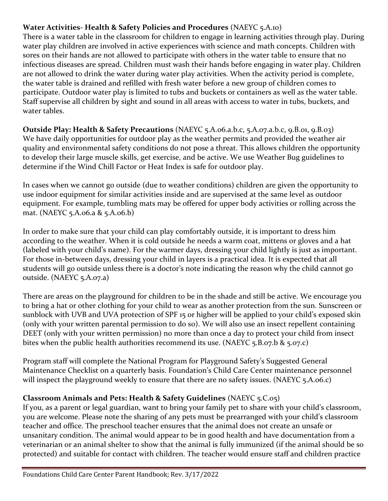### **Water Activities- Health & Safety Policies and Procedures** (NAEYC 5.A.10)

There is a water table in the classroom for children to engage in learning activities through play. During water play children are involved in active experiences with science and math concepts. Children with sores on their hands are not allowed to participate with others in the water table to ensure that no infectious diseases are spread. Children must wash their hands before engaging in water play. Children are not allowed to drink the water during water play activities. When the activity period is complete, the water table is drained and refilled with fresh water before a new group of children comes to participate. Outdoor water play is limited to tubs and buckets or containers as well as the water table. Staff supervise all children by sight and sound in all areas with access to water in tubs, buckets, and water tables.

**Outside Play: Health & Safety Precautions** (NAEYC 5.A.06.a.b.c, 5.A.07.a.b.c, 9.B.01, 9.B.03) We have daily opportunities for outdoor play as the weather permits and provided the weather air quality and environmental safety conditions do not pose a threat. This allows children the opportunity to develop their large muscle skills, get exercise, and be active. We use Weather Bug guidelines to determine if the Wind Chill Factor or Heat Index is safe for outdoor play.

In cases when we cannot go outside (due to weather conditions) children are given the opportunity to use indoor equipment for similar activities inside and are supervised at the same level as outdoor equipment. For example, tumbling mats may be offered for upper body activities or rolling across the mat. (NAEYC 5.A.06.a & 5.A.06.b)

In order to make sure that your child can play comfortably outside, it is important to dress him according to the weather. When it is cold outside he needs a warm coat, mittens or gloves and a hat (labeled with your child's name). For the warmer days, dressing your child lightly is just as important. For those in-between days, dressing your child in layers is a practical idea. It is expected that all students will go outside unless there is a doctor's note indicating the reason why the child cannot go outside. (NAEYC 5.A.07.a)

There are areas on the playground for children to be in the shade and still be active. We encourage you to bring a hat or other clothing for your child to wear as another protection from the sun. Sunscreen or sunblock with UVB and UVA protection of SPF 15 or higher will be applied to your child's exposed skin (only with your written parental permission to do so). We will also use an insect repellent containing DEET (only with your written permission) no more than once a day to protect your child from insect bites when the public health authorities recommend its use. (NAEYC 5.B.07.b & 5.07.c)

Program staff will complete the National Program for Playground Safety's Suggested General Maintenance Checklist on a quarterly basis. Foundation's Child Care Center maintenance personnel will inspect the playground weekly to ensure that there are no safety issues. (NAEYC 5.A.06.c)

### **Classroom Animals and Pets: Health & Safety Guidelines** (NAEYC 5.C.05)

If you, as a parent or legal guardian, want to bring your family pet to share with your child's classroom, you are welcome. Please note the sharing of any pets must be prearranged with your child's classroom teacher and office. The preschool teacher ensures that the animal does not create an unsafe or unsanitary condition. The animal would appear to be in good health and have documentation from a veterinarian or an animal shelter to show that the animal is fully immunized (if the animal should be so protected) and suitable for contact with children. The teacher would ensure staff and children practice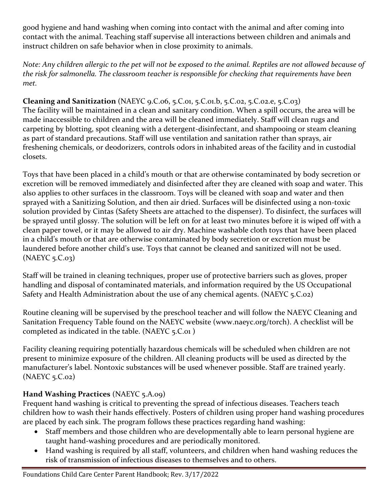good hygiene and hand washing when coming into contact with the animal and after coming into contact with the animal. Teaching staff supervise all interactions between children and animals and instruct children on safe behavior when in close proximity to animals.

*Note: Any children allergic to the pet will not be exposed to the animal. Reptiles are not allowed because of the risk for salmonella. The classroom teacher is responsible for checking that requirements have been met.*

### **Cleaning and Sanitization** (NAEYC 9.C.06, 5.C.01, 5.C.01.b, 5.C.02, 5.C.02.e, 5.C.03)

The facility will be maintained in a clean and sanitary condition. When a spill occurs, the area will be made inaccessible to children and the area will be cleaned immediately. Staff will clean rugs and carpeting by blotting, spot cleaning with a detergent-disinfectant, and shampooing or steam cleaning as part of standard precautions. Staff will use ventilation and sanitation rather than sprays, air freshening chemicals, or deodorizers, controls odors in inhabited areas of the facility and in custodial closets.

Toys that have been placed in a child's mouth or that are otherwise contaminated by body secretion or excretion will be removed immediately and disinfected after they are cleaned with soap and water. This also applies to other surfaces in the classroom. Toys will be cleaned with soap and water and then sprayed with a Sanitizing Solution, and then air dried. Surfaces will be disinfected using a non-toxic solution provided by Cintas (Safety Sheets are attached to the dispenser). To disinfect, the surfaces will be sprayed until glossy. The solution will be left on for at least two minutes before it is wiped off with a clean paper towel, or it may be allowed to air dry. Machine washable cloth toys that have been placed in a child's mouth or that are otherwise contaminated by body secretion or excretion must be laundered before another child's use. Toys that cannot be cleaned and sanitized will not be used. (NAEYC 5.C.03)

Staff will be trained in cleaning techniques, proper use of protective barriers such as gloves, proper handling and disposal of contaminated materials, and information required by the US Occupational Safety and Health Administration about the use of any chemical agents. (NAEYC 5.C.02)

Routine cleaning will be supervised by the preschool teacher and will follow the NAEYC Cleaning and Sanitation Frequency Table found on the NAEYC website (www.naeyc.org/torch). A checklist will be completed as indicated in the table. (NAEYC 5.C.01 )

Facility cleaning requiring potentially hazardous chemicals will be scheduled when children are not present to minimize exposure of the children. All cleaning products will be used as directed by the manufacturer's label. Nontoxic substances will be used whenever possible. Staff are trained yearly. (NAEYC 5.C.02)

### **Hand Washing Practices** (NAEYC 5.A.09)

Frequent hand washing is critical to preventing the spread of infectious diseases. Teachers teach children how to wash their hands effectively. Posters of children using proper hand washing procedures are placed by each sink. The program follows these practices regarding hand washing:

- Staff members and those children who are developmentally able to learn personal hygiene are taught hand-washing procedures and are periodically monitored.
- Hand washing is required by all staff, volunteers, and children when hand washing reduces the risk of transmission of infectious diseases to themselves and to others.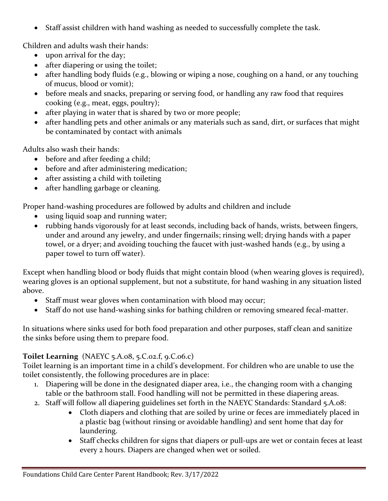• Staff assist children with hand washing as needed to successfully complete the task.

Children and adults wash their hands:

- upon arrival for the day;
- after diapering or using the toilet;
- after handling body fluids (e.g., blowing or wiping a nose, coughing on a hand, or any touching of mucus, blood or vomit);
- before meals and snacks, preparing or serving food, or handling any raw food that requires cooking (e.g., meat, eggs, poultry);
- after playing in water that is shared by two or more people;
- after handling pets and other animals or any materials such as sand, dirt, or surfaces that might be contaminated by contact with animals

Adults also wash their hands:

- before and after feeding a child;
- before and after administering medication;
- after assisting a child with toileting
- after handling garbage or cleaning.

Proper hand-washing procedures are followed by adults and children and include

- using liquid soap and running water;
- rubbing hands vigorously for at least seconds, including back of hands, wrists, between fingers, under and around any jewelry, and under fingernails; rinsing well; drying hands with a paper towel, or a dryer; and avoiding touching the faucet with just-washed hands (e.g., by using a paper towel to turn off water).

Except when handling blood or body fluids that might contain blood (when wearing gloves is required), wearing gloves is an optional supplement, but not a substitute, for hand washing in any situation listed above.

- Staff must wear gloves when contamination with blood may occur;
- Staff do not use hand-washing sinks for bathing children or removing smeared fecal-matter.

In situations where sinks used for both food preparation and other purposes, staff clean and sanitize the sinks before using them to prepare food.

### **Toilet Learning** (NAEYC 5.A.08, 5.C.02.f, 9.C.06.c)

Toilet learning is an important time in a child's development. For children who are unable to use the toilet consistently, the following procedures are in place:

- 1. Diapering will be done in the designated diaper area, i.e., the changing room with a changing table or the bathroom stall. Food handling will not be permitted in these diapering areas.
- 2. Staff will follow all diapering guidelines set forth in the NAEYC Standards: Standard 5.A.08:
	- Cloth diapers and clothing that are soiled by urine or feces are immediately placed in a plastic bag (without rinsing or avoidable handling) and sent home that day for laundering.
	- Staff checks children for signs that diapers or pull-ups are wet or contain feces at least every 2 hours. Diapers are changed when wet or soiled.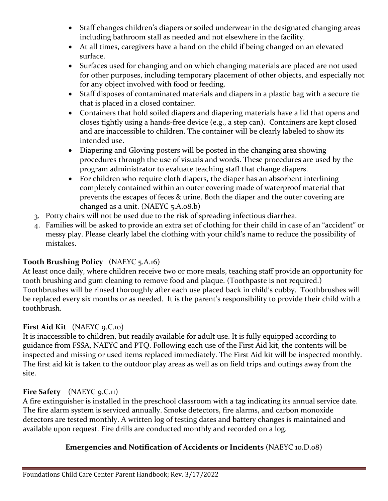- Staff changes children's diapers or soiled underwear in the designated changing areas including bathroom stall as needed and not elsewhere in the facility.
- At all times, caregivers have a hand on the child if being changed on an elevated surface.
- Surfaces used for changing and on which changing materials are placed are not used for other purposes, including temporary placement of other objects, and especially not for any object involved with food or feeding.
- Staff disposes of contaminated materials and diapers in a plastic bag with a secure tie that is placed in a closed container.
- Containers that hold soiled diapers and diapering materials have a lid that opens and closes tightly using a hands-free device (e.g., a step can). Containers are kept closed and are inaccessible to children. The container will be clearly labeled to show its intended use.
- Diapering and Gloving posters will be posted in the changing area showing procedures through the use of visuals and words. These procedures are used by the program administrator to evaluate teaching staff that change diapers.
- For children who require cloth diapers, the diaper has an absorbent interlining completely contained within an outer covering made of waterproof material that prevents the escapes of feces & urine. Both the diaper and the outer covering are changed as a unit. (NAEYC 5.A.08.b)
- 3. Potty chairs will not be used due to the risk of spreading infectious diarrhea.
- 4. Families will be asked to provide an extra set of clothing for their child in case of an "accident" or messy play. Please clearly label the clothing with your child's name to reduce the possibility of mistakes.

### **Tooth Brushing Policy** (NAEYC 5.A.16)

At least once daily, where children receive two or more meals, teaching staff provide an opportunity for tooth brushing and gum cleaning to remove food and plaque. (Toothpaste is not required.) Toothbrushes will be rinsed thoroughly after each use placed back in child's cubby. Toothbrushes will be replaced every six months or as needed. It is the parent's responsibility to provide their child with a toothbrush.

### **First Aid Kit** (NAEYC 9.C.10)

It is inaccessible to children, but readily available for adult use. It is fully equipped according to guidance from FSSA, NAEYC and PTQ. Following each use of the First Aid kit, the contents will be inspected and missing or used items replaced immediately. The First Aid kit will be inspected monthly. The first aid kit is taken to the outdoor play areas as well as on field trips and outings away from the site.

### Fire Safety (NAEYC 9.C.11)

A fire extinguisher is installed in the preschool classroom with a tag indicating its annual service date. The fire alarm system is serviced annually. Smoke detectors, fire alarms, and carbon monoxide detectors are tested monthly. A written log of testing dates and battery changes is maintained and available upon request. Fire drills are conducted monthly and recorded on a log.

### **Emergencies and Notification of Accidents or Incidents** (NAEYC 10.D.08)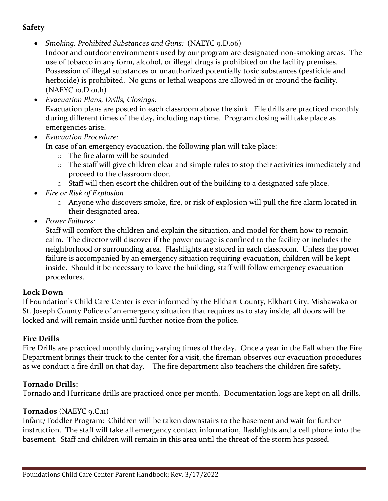### **Safety**

- *Smoking, Prohibited Substances and Guns:* (NAEYC 9.D.06)
- Indoor and outdoor environments used by our program are designated non-smoking areas. The use of tobacco in any form, alcohol, or illegal drugs is prohibited on the facility premises. Possession of illegal substances or unauthorized potentially toxic substances (pesticide and herbicide) is prohibited. No guns or lethal weapons are allowed in or around the facility. (NAEYC 10.D.01.h)
- *Evacuation Plans, Drills, Closings:* Evacuation plans are posted in each classroom above the sink. File drills are practiced monthly during different times of the day, including nap time. Program closing will take place as emergencies arise.
- *Evacuation Procedure:*

In case of an emergency evacuation, the following plan will take place:

- o The fire alarm will be sounded
- o The staff will give children clear and simple rules to stop their activities immediately and proceed to the classroom door.
- o Staff will then escort the children out of the building to a designated safe place.
- *Fire or Risk of Explosion*
	- o Anyone who discovers smoke, fire, or risk of explosion will pull the fire alarm located in their designated area.
- *Power Failures:*

Staff will comfort the children and explain the situation, and model for them how to remain calm. The director will discover if the power outage is confined to the facility or includes the neighborhood or surrounding area. Flashlights are stored in each classroom. Unless the power failure is accompanied by an emergency situation requiring evacuation, children will be kept inside. Should it be necessary to leave the building, staff will follow emergency evacuation procedures.

#### **Lock Down**

If Foundation's Child Care Center is ever informed by the Elkhart County, Elkhart City, Mishawaka or St. Joseph County Police of an emergency situation that requires us to stay inside, all doors will be locked and will remain inside until further notice from the police.

### **Fire Drills**

Fire Drills are practiced monthly during varying times of the day. Once a year in the Fall when the Fire Department brings their truck to the center for a visit, the fireman observes our evacuation procedures as we conduct a fire drill on that day. The fire department also teachers the children fire safety.

### **Tornado Drills:**

Tornado and Hurricane drills are practiced once per month. Documentation logs are kept on all drills.

### **Tornados** (NAEYC 9.C.11)

Infant/Toddler Program: Children will be taken downstairs to the basement and wait for further instruction. The staff will take all emergency contact information, flashlights and a cell phone into the basement. Staff and children will remain in this area until the threat of the storm has passed.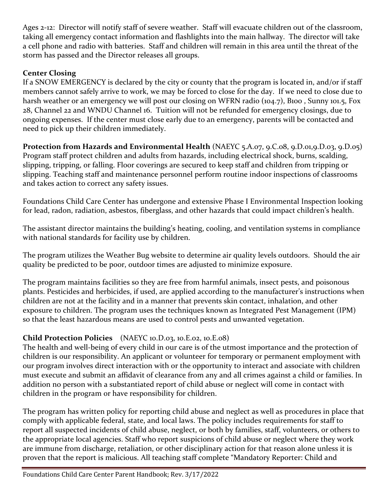Ages 2-12: Director will notify staff of severe weather. Staff will evacuate children out of the classroom, taking all emergency contact information and flashlights into the main hallway. The director will take a cell phone and radio with batteries. Staff and children will remain in this area until the threat of the storm has passed and the Director releases all groups.

### **Center Closing**

If a SNOW EMERGENCY is declared by the city or county that the program is located in, and/or if staff members cannot safely arrive to work, we may be forced to close for the day. If we need to close due to harsh weather or an emergency we will post our closing on WFRN radio (104.7), B100, Sunny 101.5, Fox 28, Channel 22 and WNDU Channel 16. Tuition will not be refunded for emergency closings, due to ongoing expenses. If the center must close early due to an emergency, parents will be contacted and need to pick up their children immediately.

**Protection from Hazards and Environmental Health** (NAEYC 5.A.07, 9.C.08, 9.D.01,9.D.03, 9.D.05) Program staff protect children and adults from hazards, including electrical shock, burns, scalding, slipping, tripping, or falling. Floor coverings are secured to keep staff and children from tripping or slipping. Teaching staff and maintenance personnel perform routine indoor inspections of classrooms and takes action to correct any safety issues.

Foundations Child Care Center has undergone and extensive Phase I Environmental Inspection looking for lead, radon, radiation, asbestos, fiberglass, and other hazards that could impact children's health.

The assistant director maintains the building's heating, cooling, and ventilation systems in compliance with national standards for facility use by children.

The program utilizes the Weather Bug website to determine air quality levels outdoors. Should the air quality be predicted to be poor, outdoor times are adjusted to minimize exposure.

The program maintains facilities so they are free from harmful animals, insect pests, and poisonous plants. Pesticides and herbicides, if used, are applied according to the manufacturer's instructions when children are not at the facility and in a manner that prevents skin contact, inhalation, and other exposure to children. The program uses the techniques known as Integrated Pest Management (IPM) so that the least hazardous means are used to control pests and unwanted vegetation.

### **Child Protection Policies** (NAEYC 10.D.03, 10.E.02, 10.E.08)

The health and well-being of every child in our care is of the utmost importance and the protection of children is our responsibility. An applicant or volunteer for temporary or permanent employment with our program involves direct interaction with or the opportunity to interact and associate with children must execute and submit an affidavit of clearance from any and all crimes against a child or families. In addition no person with a substantiated report of child abuse or neglect will come in contact with children in the program or have responsibility for children.

The program has written policy for reporting child abuse and neglect as well as procedures in place that comply with applicable federal, state, and local laws. The policy includes requirements for staff to report all suspected incidents of child abuse, neglect, or both by families, staff, volunteers, or others to the appropriate local agencies. Staff who report suspicions of child abuse or neglect where they work are immune from discharge, retaliation, or other disciplinary action for that reason alone unless it is proven that the report is malicious. All teaching staff complete "Mandatory Reporter: Child and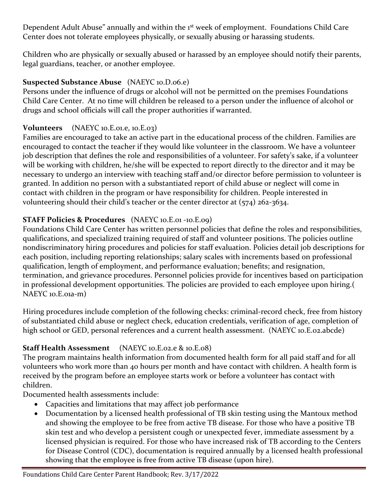Dependent Adult Abuse" annually and within the 1<sup>st</sup> week of employment. Foundations Child Care Center does not tolerate employees physically, or sexually abusing or harassing students.

Children who are physically or sexually abused or harassed by an employee should notify their parents, legal guardians, teacher, or another employee.

### **Suspected Substance Abuse** (NAEYC 10.D.06.e)

Persons under the influence of drugs or alcohol will not be permitted on the premises Foundations Child Care Center. At no time will children be released to a person under the influence of alcohol or drugs and school officials will call the proper authorities if warranted.

### **Volunteers** (NAEYC 10.E.01.e, 10.E.03)

Families are encouraged to take an active part in the educational process of the children. Families are encouraged to contact the teacher if they would like volunteer in the classroom. We have a volunteer job description that defines the role and responsibilities of a volunteer. For safety's sake, if a volunteer will be working with children, he/she will be expected to report directly to the director and it may be necessary to undergo an interview with teaching staff and/or director before permission to volunteer is granted. In addition no person with a substantiated report of child abuse or neglect will come in contact with children in the program or have responsibility for children. People interested in volunteering should their child's teacher or the center director at (574) 262-3634.

### **STAFF Policies & Procedures** (NAEYC 10.E.01 -10.E.09)

Foundations Child Care Center has written personnel policies that define the roles and responsibilities, qualifications, and specialized training required of staff and volunteer positions. The policies outline nondiscriminatory hiring procedures and policies for staff evaluation. Policies detail job descriptions for each position, including reporting relationships; salary scales with increments based on professional qualification, length of employment, and performance evaluation; benefits; and resignation, termination, and grievance procedures. Personnel policies provide for incentives based on participation in professional development opportunities. The policies are provided to each employee upon hiring.( NAEYC 10.E.01a-m)

Hiring procedures include completion of the following checks: criminal-record check, free from history of substantiated child abuse or neglect check, education credentials, verification of age, completion of high school or GED, personal references and a current health assessment. (NAEYC 10.E.02.abcde)

### **Staff Health Assessment** (NAEYC 10.E.02.e & 10.E.08)

The program maintains health information from documented health form for all paid staff and for all volunteers who work more than 40 hours per month and have contact with children. A health form is received by the program before an employee starts work or before a volunteer has contact with children.

Documented health assessments include:

- Capacities and limitations that may affect job performance
- Documentation by a licensed health professional of TB skin testing using the Mantoux method and showing the employee to be free from active TB disease. For those who have a positive TB skin test and who develop a persistent cough or unexpected fever, immediate assessment by a licensed physician is required. For those who have increased risk of TB according to the Centers for Disease Control (CDC), documentation is required annually by a licensed health professional showing that the employee is free from active TB disease (upon hire).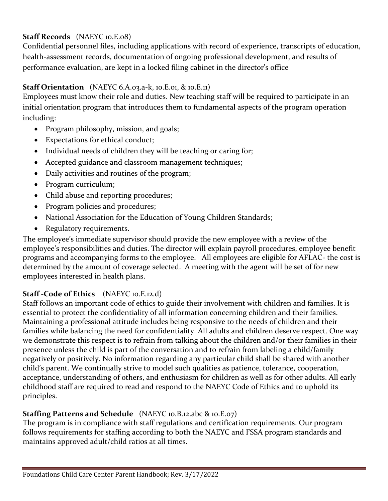### **Staff Records** (NAEYC 10.E.08)

Confidential personnel files, including applications with record of experience, transcripts of education, health-assessment records, documentation of ongoing professional development, and results of performance evaluation, are kept in a locked filing cabinet in the director's office

### **Staff Orientation** (NAEYC 6.A.03.a-k, 10.E.01, & 10.E.11)

Employees must know their role and duties. New teaching staff will be required to participate in an initial orientation program that introduces them to fundamental aspects of the program operation including:

- Program philosophy, mission, and goals;
- Expectations for ethical conduct;
- Individual needs of children they will be teaching or caring for;
- Accepted guidance and classroom management techniques;
- Daily activities and routines of the program;
- Program curriculum;
- Child abuse and reporting procedures;
- Program policies and procedures;
- National Association for the Education of Young Children Standards;
- Regulatory requirements.

The employee's immediate supervisor should provide the new employee with a review of the employee's responsibilities and duties. The director will explain payroll procedures, employee benefit programs and accompanying forms to the employee. All employees are eligible for AFLAC- the cost is determined by the amount of coverage selected. A meeting with the agent will be set of for new employees interested in health plans.

### **Staff -Code of Ethics** (NAEYC 10.E.12.d)

Staff follows an important code of ethics to guide their involvement with children and families. It is essential to protect the confidentiality of all information concerning children and their families. Maintaining a professional attitude includes being responsive to the needs of children and their families while balancing the need for confidentiality. All adults and children deserve respect. One way we demonstrate this respect is to refrain from talking about the children and/or their families in their presence unless the child is part of the conversation and to refrain from labeling a child/family negatively or positively. No information regarding any particular child shall be shared with another child's parent. We continually strive to model such qualities as patience, tolerance, cooperation, acceptance, understanding of others, and enthusiasm for children as well as for other adults. All early childhood staff are required to read and respond to the NAEYC Code of Ethics and to uphold its principles.

### **Staffing Patterns and Schedule** (NAEYC 10.B.12.abc & 10.E.07)

The program is in compliance with staff regulations and certification requirements. Our program follows requirements for staffing according to both the NAEYC and FSSA program standards and maintains approved adult/child ratios at all times.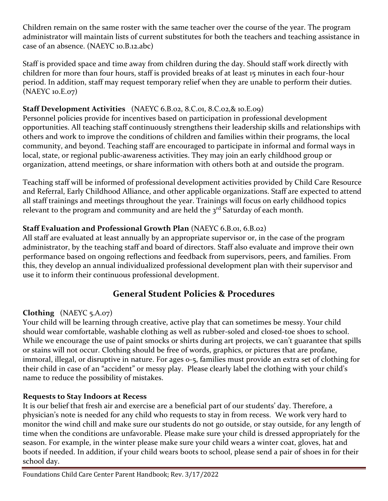Children remain on the same roster with the same teacher over the course of the year. The program administrator will maintain lists of current substitutes for both the teachers and teaching assistance in case of an absence. (NAEYC 10.B.12.abc)

Staff is provided space and time away from children during the day. Should staff work directly with children for more than four hours, staff is provided breaks of at least 15 minutes in each four-hour period. In addition, staff may request temporary relief when they are unable to perform their duties. (NAEYC 10.E.07)

### **Staff Development Activities** (NAEYC 6.B.02, 8.C.01, 8.C.02,& 10.E.09)

Personnel policies provide for incentives based on participation in professional development opportunities. All teaching staff continuously strengthens their leadership skills and relationships with others and work to improve the conditions of children and families within their programs, the local community, and beyond. Teaching staff are encouraged to participate in informal and formal ways in local, state, or regional public-awareness activities. They may join an early childhood group or organization, attend meetings, or share information with others both at and outside the program.

Teaching staff will be informed of professional development activities provided by Child Care Resource and Referral, Early Childhood Alliance, and other applicable organizations. Staff are expected to attend all staff trainings and meetings throughout the year. Trainings will focus on early childhood topics relevant to the program and community and are held the  $3^{rd}$  Saturday of each month.

### **Staff Evaluation and Professional Growth Plan** (NAEYC 6.B.01, 6.B.02)

All staff are evaluated at least annually by an appropriate supervisor or, in the case of the program administrator, by the teaching staff and board of directors. Staff also evaluate and improve their own performance based on ongoing reflections and feedback from supervisors, peers, and families. From this, they develop an annual individualized professional development plan with their supervisor and use it to inform their continuous professional development.

### **General Student Policies & Procedures**

### **Clothing** (NAEYC 5.A.07)

Your child will be learning through creative, active play that can sometimes be messy. Your child should wear comfortable, washable clothing as well as rubber-soled and closed-toe shoes to school. While we encourage the use of paint smocks or shirts during art projects, we can't guarantee that spills or stains will not occur. Clothing should be free of words, graphics, or pictures that are profane, immoral, illegal, or disruptive in nature. For ages 0-5, families must provide an extra set of clothing for their child in case of an "accident" or messy play. Please clearly label the clothing with your child's name to reduce the possibility of mistakes.

### **Requests to Stay Indoors at Recess**

It is our belief that fresh air and exercise are a beneficial part of our students' day. Therefore, a physician's note is needed for any child who requests to stay in from recess. We work very hard to monitor the wind chill and make sure our students do not go outside, or stay outside, for any length of time when the conditions are unfavorable. Please make sure your child is dressed appropriately for the season. For example, in the winter please make sure your child wears a winter coat, gloves, hat and boots if needed. In addition, if your child wears boots to school, please send a pair of shoes in for their school day.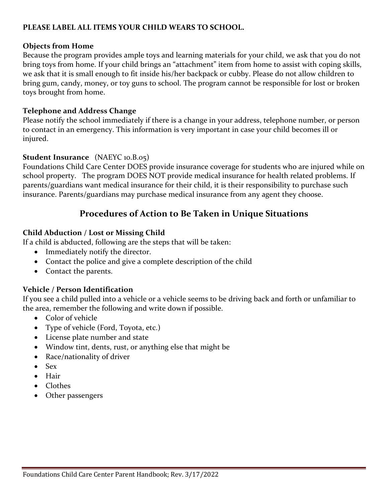#### **PLEASE LABEL ALL ITEMS YOUR CHILD WEARS TO SCHOOL.**

#### **Objects from Home**

Because the program provides ample toys and learning materials for your child, we ask that you do not bring toys from home. If your child brings an "attachment" item from home to assist with coping skills, we ask that it is small enough to fit inside his/her backpack or cubby. Please do not allow children to bring gum, candy, money, or toy guns to school. The program cannot be responsible for lost or broken toys brought from home.

#### **Telephone and Address Change**

Please notify the school immediately if there is a change in your address, telephone number, or person to contact in an emergency. This information is very important in case your child becomes ill or injured.

#### **Student Insurance** (NAEYC 10.B.05)

Foundations Child Care Center DOES provide insurance coverage for students who are injured while on school property. The program DOES NOT provide medical insurance for health related problems. If parents/guardians want medical insurance for their child, it is their responsibility to purchase such insurance. Parents/guardians may purchase medical insurance from any agent they choose.

### **Procedures of Action to Be Taken in Unique Situations**

#### **Child Abduction / Lost or Missing Child**

If a child is abducted, following are the steps that will be taken:

- Immediately notify the director.
- Contact the police and give a complete description of the child
- Contact the parents.

### **Vehicle / Person Identification**

If you see a child pulled into a vehicle or a vehicle seems to be driving back and forth or unfamiliar to the area, remember the following and write down if possible.

- Color of vehicle
- Type of vehicle (Ford, Toyota, etc.)
- License plate number and state
- Window tint, dents, rust, or anything else that might be
- Race/nationality of driver
- Sex
- Hair
- Clothes
- Other passengers